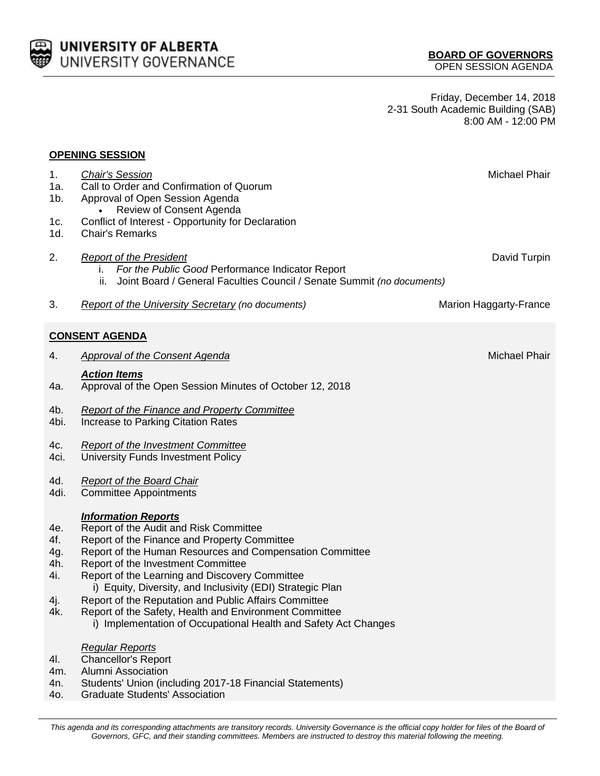

Friday, December 14, 2018 2-31 South Academic Building (SAB) 8:00 AM - 12:00 PM

## **OPENING SESSION**

| 1.<br>1a.<br>$1b$ .<br>1c.<br>1d.             | <b>Chair's Session</b><br>Call to Order and Confirmation of Quorum<br>Approval of Open Session Agenda<br>Review of Consent Agenda<br>Conflict of Interest - Opportunity for Declaration<br><b>Chair's Remarks</b>                                                                                                                                                                                                                                                                                                            | Michael Phair          |
|-----------------------------------------------|------------------------------------------------------------------------------------------------------------------------------------------------------------------------------------------------------------------------------------------------------------------------------------------------------------------------------------------------------------------------------------------------------------------------------------------------------------------------------------------------------------------------------|------------------------|
| 2.                                            | <b>Report of the President</b><br>For the Public Good Performance Indicator Report<br>ı.<br>Joint Board / General Faculties Council / Senate Summit (no documents)<br>ii.                                                                                                                                                                                                                                                                                                                                                    | David Turpin           |
| 3.                                            | <b>Report of the University Secretary (no documents)</b>                                                                                                                                                                                                                                                                                                                                                                                                                                                                     | Marion Haggarty-France |
|                                               | <b>CONSENT AGENDA</b>                                                                                                                                                                                                                                                                                                                                                                                                                                                                                                        |                        |
| 4.                                            | <b>Approval of the Consent Agenda</b>                                                                                                                                                                                                                                                                                                                                                                                                                                                                                        | Michael Phair          |
| 4a.                                           | <b>Action Items</b><br>Approval of the Open Session Minutes of October 12, 2018                                                                                                                                                                                                                                                                                                                                                                                                                                              |                        |
| 4b.<br>4bi.                                   | <b>Report of the Finance and Property Committee</b><br>Increase to Parking Citation Rates                                                                                                                                                                                                                                                                                                                                                                                                                                    |                        |
| 4c.<br>4ci.                                   | <b>Report of the Investment Committee</b><br>University Funds Investment Policy                                                                                                                                                                                                                                                                                                                                                                                                                                              |                        |
| 4d.<br>4di.                                   | <b>Report of the Board Chair</b><br><b>Committee Appointments</b>                                                                                                                                                                                                                                                                                                                                                                                                                                                            |                        |
| 4e.<br>4f.<br>4g.<br>4h.<br>4i.<br>4j.<br>4k. | <b>Information Reports</b><br>Report of the Audit and Risk Committee<br>Report of the Finance and Property Committee<br>Report of the Human Resources and Compensation Committee<br>Report of the Investment Committee<br>Report of the Learning and Discovery Committee<br>i) Equity, Diversity, and Inclusivity (EDI) Strategic Plan<br>Report of the Reputation and Public Affairs Committee<br>Report of the Safety, Health and Environment Committee<br>i) Implementation of Occupational Health and Safety Act Changes |                        |
| 4I.<br>4m.<br>4n.<br>4o.                      | <b>Regular Reports</b><br><b>Chancellor's Report</b><br><b>Alumni Association</b><br>Students' Union (including 2017-18 Financial Statements)<br><b>Graduate Students' Association</b>                                                                                                                                                                                                                                                                                                                                       |                        |